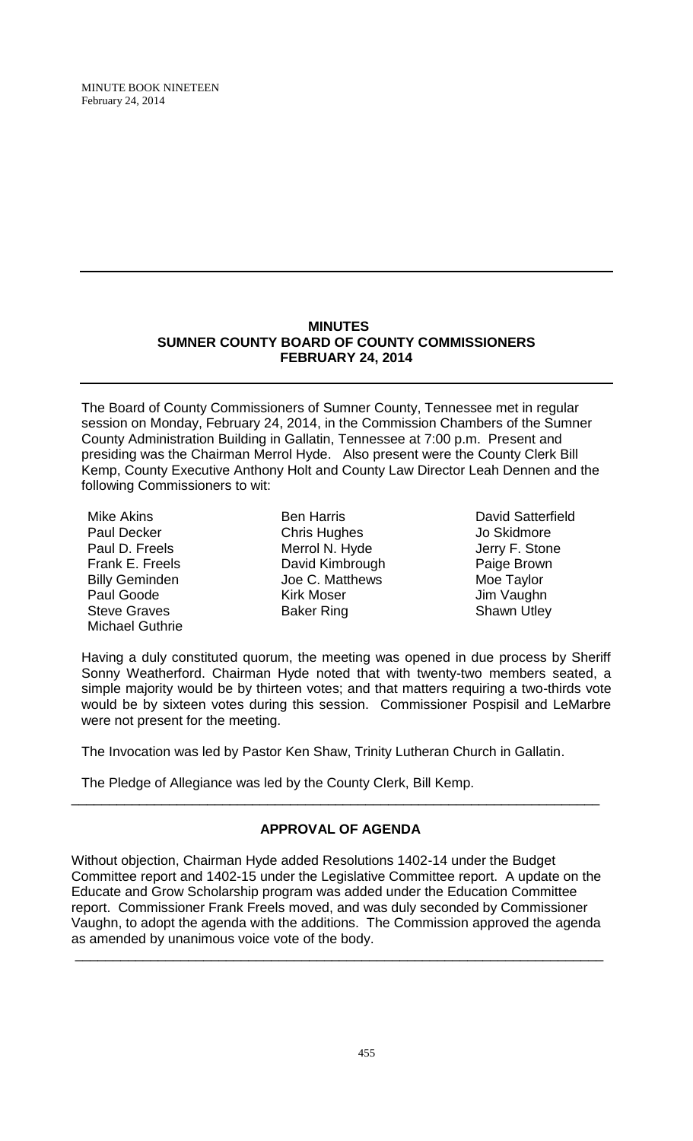## **MINUTES SUMNER COUNTY BOARD OF COUNTY COMMISSIONERS FEBRUARY 24, 2014**

The Board of County Commissioners of Sumner County, Tennessee met in regular session on Monday, February 24, 2014, in the Commission Chambers of the Sumner County Administration Building in Gallatin, Tennessee at 7:00 p.m. Present and presiding was the Chairman Merrol Hyde. Also present were the County Clerk Bill Kemp, County Executive Anthony Holt and County Law Director Leah Dennen and the following Commissioners to wit:

Mike Akins Paul Decker Paul D. Freels Frank E. Freels Billy Geminden Paul Goode Steve Graves Michael Guthrie

Ben Harris Chris Hughes Merrol N. Hyde David Kimbrough Joe C. Matthews Kirk Moser Baker Ring

David Satterfield Jo Skidmore Jerry F. Stone Jerry F. Ston<br>Paige Brown<br>Mas Tarler Moe Taylor Jim Vaughn Shawn Utley

Having a duly constituted quorum, the meeting was opened in due process by Sheriff Sonny Weatherford. Chairman Hyde noted that with twenty-two members seated, a simple majority would be by thirteen votes; and that matters requiring a two-thirds vote would be by sixteen votes during this session. Commissioner Pospisil and LeMarbre were not present for the meeting.

The Invocation was led by Pastor Ken Shaw, Trinity Lutheran Church in Gallatin.

The Pledge of Allegiance was led by the County Clerk, Bill Kemp.

# **APPROVAL OF AGENDA**

\_\_\_\_\_\_\_\_\_\_\_\_\_\_\_\_\_\_\_\_\_\_\_\_\_\_\_\_\_\_\_\_\_\_\_\_\_\_\_\_\_\_\_\_\_\_\_\_\_\_\_\_\_\_\_\_\_\_\_\_\_\_\_\_\_\_\_\_\_\_

Without objection, Chairman Hyde added Resolutions 1402-14 under the Budget Committee report and 1402-15 under the Legislative Committee report. A update on the Educate and Grow Scholarship program was added under the Education Committee report. Commissioner Frank Freels moved, and was duly seconded by Commissioner Vaughn, to adopt the agenda with the additions. The Commission approved the agenda as amended by unanimous voice vote of the body.

\_\_\_\_\_\_\_\_\_\_\_\_\_\_\_\_\_\_\_\_\_\_\_\_\_\_\_\_\_\_\_\_\_\_\_\_\_\_\_\_\_\_\_\_\_\_\_\_\_\_\_\_\_\_\_\_\_\_\_\_\_\_\_\_\_\_\_\_\_\_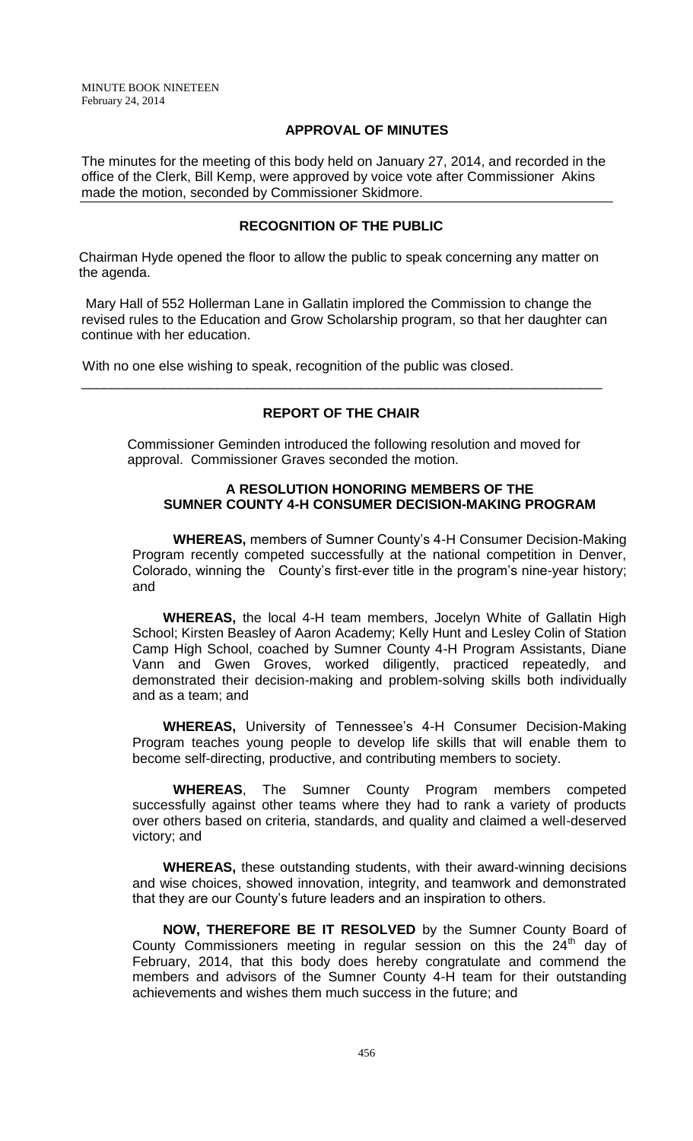### **APPROVAL OF MINUTES**

The minutes for the meeting of this body held on January 27, 2014, and recorded in the office of the Clerk, Bill Kemp, were approved by voice vote after Commissioner Akins made the motion, seconded by Commissioner Skidmore.

## **RECOGNITION OF THE PUBLIC**

 Chairman Hyde opened the floor to allow the public to speak concerning any matter on the agenda.

Mary Hall of 552 Hollerman Lane in Gallatin implored the Commission to change the revised rules to the Education and Grow Scholarship program, so that her daughter can continue with her education.

With no one else wishing to speak, recognition of the public was closed.

## **REPORT OF THE CHAIR**

\_\_\_\_\_\_\_\_\_\_\_\_\_\_\_\_\_\_\_\_\_\_\_\_\_\_\_\_\_\_\_\_\_\_\_\_\_\_\_\_\_\_\_\_\_\_\_\_\_\_\_\_\_\_\_\_\_\_\_\_\_\_\_\_\_\_\_\_\_

Commissioner Geminden introduced the following resolution and moved for approval. Commissioner Graves seconded the motion.

### **A RESOLUTION HONORING MEMBERS OF THE SUMNER COUNTY 4-H CONSUMER DECISION-MAKING PROGRAM**

**WHEREAS,** members of Sumner County's 4-H Consumer Decision-Making Program recently competed successfully at the national competition in Denver, Colorado, winning the County's first-ever title in the program's nine-year history; and

**WHEREAS,** the local 4-H team members, Jocelyn White of Gallatin High School; Kirsten Beasley of Aaron Academy; Kelly Hunt and Lesley Colin of Station Camp High School, coached by Sumner County 4-H Program Assistants, Diane Vann and Gwen Groves, worked diligently, practiced repeatedly, and demonstrated their decision-making and problem-solving skills both individually and as a team; and

**WHEREAS,** University of Tennessee's 4-H Consumer Decision-Making Program teaches young people to develop life skills that will enable them to become self-directing, productive, and contributing members to society.

**WHEREAS**, The Sumner County Program members competed successfully against other teams where they had to rank a variety of products over others based on criteria, standards, and quality and claimed a well-deserved victory; and

**WHEREAS,** these outstanding students, with their award-winning decisions and wise choices, showed innovation, integrity, and teamwork and demonstrated that they are our County's future leaders and an inspiration to others.

**NOW, THEREFORE BE IT RESOLVED** by the Sumner County Board of County Commissioners meeting in regular session on this the  $24<sup>th</sup>$  day of February, 2014, that this body does hereby congratulate and commend the members and advisors of the Sumner County 4-H team for their outstanding achievements and wishes them much success in the future; and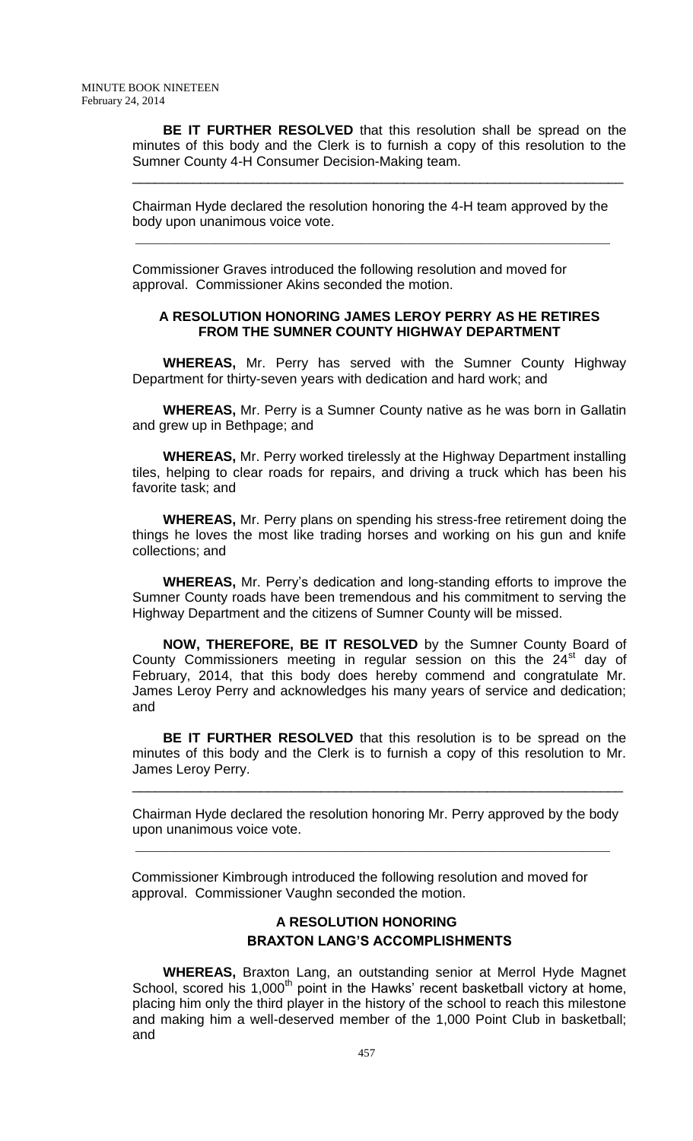**BE IT FURTHER RESOLVED** that this resolution shall be spread on the minutes of this body and the Clerk is to furnish a copy of this resolution to the Sumner County 4-H Consumer Decision-Making team.

\_\_\_\_\_\_\_\_\_\_\_\_\_\_\_\_\_\_\_\_\_\_\_\_\_\_\_\_\_\_\_\_\_\_\_\_\_\_\_\_\_\_\_\_\_\_\_\_\_\_\_\_\_\_\_\_\_\_\_\_\_\_\_\_\_

Chairman Hyde declared the resolution honoring the 4-H team approved by the body upon unanimous voice vote.

Commissioner Graves introduced the following resolution and moved for approval. Commissioner Akins seconded the motion.

\_\_\_\_\_\_\_\_\_\_\_\_\_\_\_\_\_\_\_\_\_\_\_\_\_\_\_\_\_\_\_\_\_\_\_\_\_\_\_\_\_\_\_\_\_\_\_\_\_\_\_\_\_\_\_\_\_\_\_\_\_\_\_\_\_\_\_\_\_\_\_\_\_\_\_\_\_\_\_\_\_\_\_\_

### **A RESOLUTION HONORING JAMES LEROY PERRY AS HE RETIRES FROM THE SUMNER COUNTY HIGHWAY DEPARTMENT**

**WHEREAS,** Mr. Perry has served with the Sumner County Highway Department for thirty-seven years with dedication and hard work; and

**WHEREAS,** Mr. Perry is a Sumner County native as he was born in Gallatin and grew up in Bethpage; and

**WHEREAS,** Mr. Perry worked tirelessly at the Highway Department installing tiles, helping to clear roads for repairs, and driving a truck which has been his favorite task; and

**WHEREAS,** Mr. Perry plans on spending his stress-free retirement doing the things he loves the most like trading horses and working on his gun and knife collections; and

**WHEREAS,** Mr. Perry's dedication and long-standing efforts to improve the Sumner County roads have been tremendous and his commitment to serving the Highway Department and the citizens of Sumner County will be missed.

**NOW, THEREFORE, BE IT RESOLVED** by the Sumner County Board of County Commissioners meeting in regular session on this the  $24<sup>st</sup>$  day of February, 2014, that this body does hereby commend and congratulate Mr. James Leroy Perry and acknowledges his many years of service and dedication; and

**BE IT FURTHER RESOLVED** that this resolution is to be spread on the minutes of this body and the Clerk is to furnish a copy of this resolution to Mr. James Leroy Perry.

Chairman Hyde declared the resolution honoring Mr. Perry approved by the body upon unanimous voice vote.

\_\_\_\_\_\_\_\_\_\_\_\_\_\_\_\_\_\_\_\_\_\_\_\_\_\_\_\_\_\_\_\_\_\_\_\_\_\_\_\_\_\_\_\_\_\_\_\_\_\_\_\_\_\_\_\_\_\_\_\_\_\_\_\_\_

 Commissioner Kimbrough introduced the following resolution and moved for approval. Commissioner Vaughn seconded the motion.

\_\_\_\_\_\_\_\_\_\_\_\_\_\_\_\_\_\_\_\_\_\_\_\_\_\_\_\_\_\_\_\_\_\_\_\_\_\_\_\_\_\_\_\_\_\_\_\_\_\_\_\_\_\_\_\_\_\_\_\_\_\_\_\_\_\_\_\_\_\_\_\_\_\_\_\_\_\_\_\_\_\_\_\_

## **A RESOLUTION HONORING BRAXTON LANG'S ACCOMPLISHMENTS**

**WHEREAS,** Braxton Lang, an outstanding senior at Merrol Hyde Magnet School, scored his 1,000<sup>th</sup> point in the Hawks' recent basketball victory at home, placing him only the third player in the history of the school to reach this milestone and making him a well-deserved member of the 1,000 Point Club in basketball; and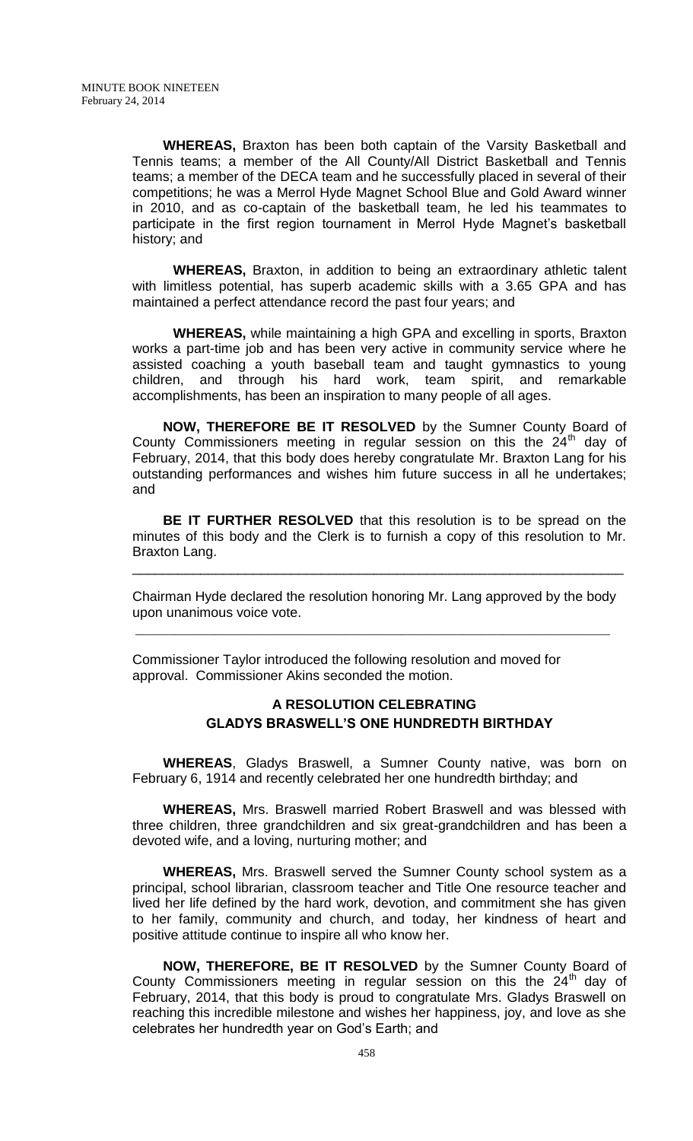**WHEREAS,** Braxton has been both captain of the Varsity Basketball and Tennis teams; a member of the All County/All District Basketball and Tennis teams; a member of the DECA team and he successfully placed in several of their competitions; he was a Merrol Hyde Magnet School Blue and Gold Award winner in 2010, and as co-captain of the basketball team, he led his teammates to participate in the first region tournament in Merrol Hyde Magnet's basketball history; and

**WHEREAS,** Braxton, in addition to being an extraordinary athletic talent with limitless potential, has superb academic skills with a 3.65 GPA and has maintained a perfect attendance record the past four years; and

**WHEREAS,** while maintaining a high GPA and excelling in sports, Braxton works a part-time job and has been very active in community service where he assisted coaching a youth baseball team and taught gymnastics to young children, and through his hard work, team spirit, and remarkable accomplishments, has been an inspiration to many people of all ages.

**NOW, THEREFORE BE IT RESOLVED** by the Sumner County Board of County Commissioners meeting in regular session on this the  $24<sup>th</sup>$  day of February, 2014, that this body does hereby congratulate Mr. Braxton Lang for his outstanding performances and wishes him future success in all he undertakes; and

**BE IT FURTHER RESOLVED** that this resolution is to be spread on the minutes of this body and the Clerk is to furnish a copy of this resolution to Mr. Braxton Lang.

Chairman Hyde declared the resolution honoring Mr. Lang approved by the body upon unanimous voice vote.

\_\_\_\_\_\_\_\_\_\_\_\_\_\_\_\_\_\_\_\_\_\_\_\_\_\_\_\_\_\_\_\_\_\_\_\_\_\_\_\_\_\_\_\_\_\_\_\_\_\_\_\_\_\_\_\_\_\_\_\_\_\_\_\_\_

Commissioner Taylor introduced the following resolution and moved for approval. Commissioner Akins seconded the motion.

\_\_\_\_\_\_\_\_\_\_\_\_\_\_\_\_\_\_\_\_\_\_\_\_\_\_\_\_\_\_\_\_\_\_\_\_\_\_\_\_\_\_\_\_\_\_\_\_\_\_\_\_\_\_\_\_\_\_\_\_\_\_\_\_\_\_\_\_\_\_\_\_\_\_\_\_\_\_\_\_\_\_\_\_

## **A RESOLUTION CELEBRATING GLADYS BRASWELL'S ONE HUNDREDTH BIRTHDAY**

**WHEREAS**, Gladys Braswell, a Sumner County native, was born on February 6, 1914 and recently celebrated her one hundredth birthday; and

**WHEREAS,** Mrs. Braswell married Robert Braswell and was blessed with three children, three grandchildren and six great-grandchildren and has been a devoted wife, and a loving, nurturing mother; and

**WHEREAS,** Mrs. Braswell served the Sumner County school system as a principal, school librarian, classroom teacher and Title One resource teacher and lived her life defined by the hard work, devotion, and commitment she has given to her family, community and church, and today, her kindness of heart and positive attitude continue to inspire all who know her.

**NOW, THEREFORE, BE IT RESOLVED** by the Sumner County Board of County Commissioners meeting in regular session on this the  $24<sup>th</sup>$  day of February, 2014, that this body is proud to congratulate Mrs. Gladys Braswell on reaching this incredible milestone and wishes her happiness, joy, and love as she celebrates her hundredth year on God's Earth; and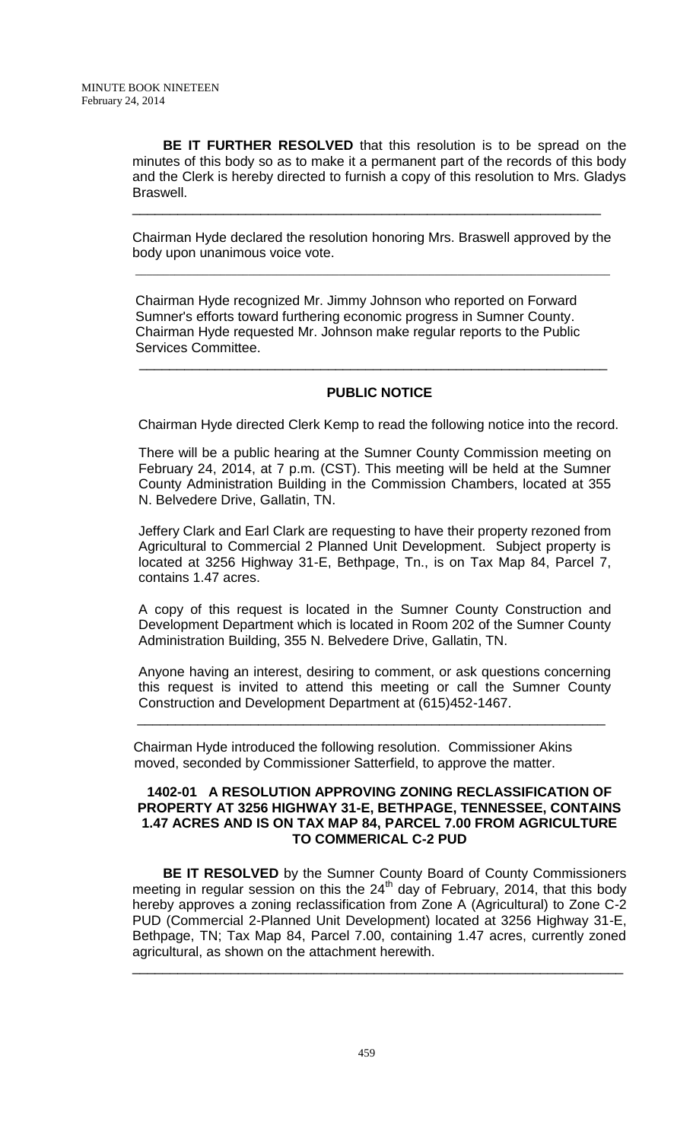**BE IT FURTHER RESOLVED** that this resolution is to be spread on the minutes of this body so as to make it a permanent part of the records of this body and the Clerk is hereby directed to furnish a copy of this resolution to Mrs. Gladys Braswell.

Chairman Hyde declared the resolution honoring Mrs. Braswell approved by the body upon unanimous voice vote.

\_\_\_\_\_\_\_\_\_\_\_\_\_\_\_\_\_\_\_\_\_\_\_\_\_\_\_\_\_\_\_\_\_\_\_\_\_\_\_\_\_\_\_\_\_\_\_\_\_\_\_\_\_\_\_\_\_\_\_\_\_\_

 Chairman Hyde recognized Mr. Jimmy Johnson who reported on Forward Sumner's efforts toward furthering economic progress in Sumner County. Chairman Hyde requested Mr. Johnson make regular reports to the Public Services Committee.

\_\_\_\_\_\_\_\_\_\_\_\_\_\_\_\_\_\_\_\_\_\_\_\_\_\_\_\_\_\_\_\_\_\_\_\_\_\_\_\_\_\_\_\_\_\_\_\_\_\_\_\_\_\_\_\_\_\_\_\_\_\_\_\_\_\_\_\_\_\_\_\_\_\_\_\_\_\_\_\_\_\_\_\_

 $\frac{1}{\sqrt{2}}$  ,  $\frac{1}{\sqrt{2}}$  ,  $\frac{1}{\sqrt{2}}$  ,  $\frac{1}{\sqrt{2}}$  ,  $\frac{1}{\sqrt{2}}$  ,  $\frac{1}{\sqrt{2}}$  ,  $\frac{1}{\sqrt{2}}$  ,  $\frac{1}{\sqrt{2}}$  ,  $\frac{1}{\sqrt{2}}$  ,  $\frac{1}{\sqrt{2}}$  ,  $\frac{1}{\sqrt{2}}$  ,  $\frac{1}{\sqrt{2}}$  ,  $\frac{1}{\sqrt{2}}$  ,  $\frac{1}{\sqrt{2}}$  ,  $\frac{1}{\sqrt{2}}$ 

### **PUBLIC NOTICE**

Chairman Hyde directed Clerk Kemp to read the following notice into the record.

There will be a public hearing at the Sumner County Commission meeting on February 24, 2014, at 7 p.m. (CST). This meeting will be held at the Sumner County Administration Building in the Commission Chambers, located at 355 N. Belvedere Drive, Gallatin, TN.

Jeffery Clark and Earl Clark are requesting to have their property rezoned from Agricultural to Commercial 2 Planned Unit Development. Subject property is located at 3256 Highway 31-E, Bethpage, Tn., is on Tax Map 84, Parcel 7, contains 1.47 acres.

A copy of this request is located in the Sumner County Construction and Development Department which is located in Room 202 of the Sumner County Administration Building, 355 N. Belvedere Drive, Gallatin, TN.

Anyone having an interest, desiring to comment, or ask questions concerning this request is invited to attend this meeting or call the Sumner County Construction and Development Department at (615)452-1467.

 Chairman Hyde introduced the following resolution. Commissioner Akins moved, seconded by Commissioner Satterfield, to approve the matter.

\_\_\_\_\_\_\_\_\_\_\_\_\_\_\_\_\_\_\_\_\_\_\_\_\_\_\_\_\_\_\_\_\_\_\_\_\_\_\_\_\_\_\_\_\_\_\_\_\_\_\_\_\_\_\_\_\_\_\_\_\_\_

### **1402-01 A RESOLUTION APPROVING ZONING RECLASSIFICATION OF PROPERTY AT 3256 HIGHWAY 31-E, BETHPAGE, TENNESSEE, CONTAINS 1.47 ACRES AND IS ON TAX MAP 84, PARCEL 7.00 FROM AGRICULTURE TO COMMERICAL C-2 PUD**

**BE IT RESOLVED** by the Sumner County Board of County Commissioners meeting in regular session on this the  $24<sup>th</sup>$  day of February, 2014, that this body hereby approves a zoning reclassification from Zone A (Agricultural) to Zone C-2 PUD (Commercial 2-Planned Unit Development) located at 3256 Highway 31-E, Bethpage, TN; Tax Map 84, Parcel 7.00, containing 1.47 acres, currently zoned agricultural, as shown on the attachment herewith.

\_\_\_\_\_\_\_\_\_\_\_\_\_\_\_\_\_\_\_\_\_\_\_\_\_\_\_\_\_\_\_\_\_\_\_\_\_\_\_\_\_\_\_\_\_\_\_\_\_\_\_\_\_\_\_\_\_\_\_\_\_\_\_\_\_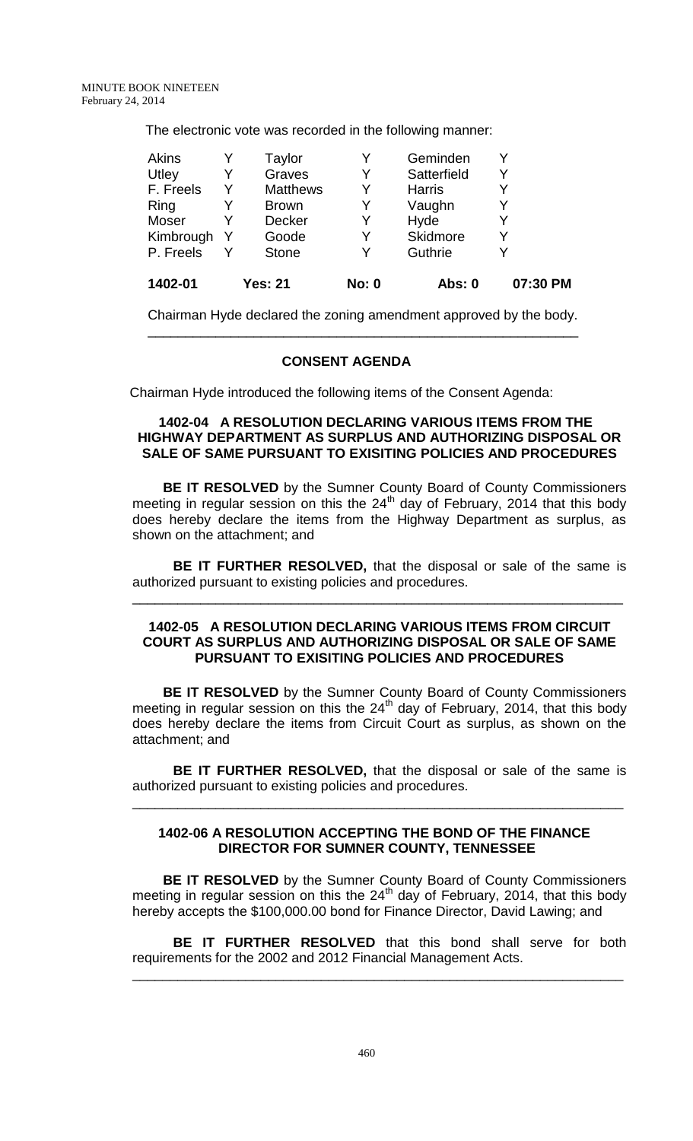The electronic vote was recorded in the following manner:

|   | <b>Stone</b>    | Υ | Guthrie       |   |
|---|-----------------|---|---------------|---|
| Y | Goode           | Y | Skidmore      |   |
|   | <b>Decker</b>   | Y | Hyde          | Y |
|   | <b>Brown</b>    | Y | Vaughn        |   |
| Y | <b>Matthews</b> | Y | <b>Harris</b> |   |
| Y | Graves          | Y | Satterfield   | Y |
|   | Taylor          | Y | Geminden      |   |
|   |                 |   |               |   |

Chairman Hyde declared the zoning amendment approved by the body. \_\_\_\_\_\_\_\_\_\_\_\_\_\_\_\_\_\_\_\_\_\_\_\_\_\_\_\_\_\_\_\_\_\_\_\_\_\_\_\_\_\_\_\_\_\_\_\_\_\_\_\_\_\_\_\_\_

### **CONSENT AGENDA**

Chairman Hyde introduced the following items of the Consent Agenda:

### **1402-04 A RESOLUTION DECLARING VARIOUS ITEMS FROM THE HIGHWAY DEPARTMENT AS SURPLUS AND AUTHORIZING DISPOSAL OR SALE OF SAME PURSUANT TO EXISITING POLICIES AND PROCEDURES**

**BE IT RESOLVED** by the Sumner County Board of County Commissioners meeting in regular session on this the  $24<sup>th</sup>$  day of February, 2014 that this body does hereby declare the items from the Highway Department as surplus, as shown on the attachment; and

**BE IT FURTHER RESOLVED,** that the disposal or sale of the same is authorized pursuant to existing policies and procedures.

\_\_\_\_\_\_\_\_\_\_\_\_\_\_\_\_\_\_\_\_\_\_\_\_\_\_\_\_\_\_\_\_\_\_\_\_\_\_\_\_\_\_\_\_\_\_\_\_\_\_\_\_\_\_\_\_\_\_\_\_\_\_\_\_\_

### **1402-05 A RESOLUTION DECLARING VARIOUS ITEMS FROM CIRCUIT COURT AS SURPLUS AND AUTHORIZING DISPOSAL OR SALE OF SAME PURSUANT TO EXISITING POLICIES AND PROCEDURES**

**BE IT RESOLVED** by the Sumner County Board of County Commissioners meeting in regular session on this the  $24<sup>th</sup>$  day of February, 2014, that this body does hereby declare the items from Circuit Court as surplus, as shown on the attachment; and

**BE IT FURTHER RESOLVED,** that the disposal or sale of the same is authorized pursuant to existing policies and procedures.

\_\_\_\_\_\_\_\_\_\_\_\_\_\_\_\_\_\_\_\_\_\_\_\_\_\_\_\_\_\_\_\_\_\_\_\_\_\_\_\_\_\_\_\_\_\_\_\_\_\_\_\_\_\_\_\_\_\_\_\_\_\_\_\_\_

## **1402-06 A RESOLUTION ACCEPTING THE BOND OF THE FINANCE DIRECTOR FOR SUMNER COUNTY, TENNESSEE**

**BE IT RESOLVED** by the Sumner County Board of County Commissioners meeting in regular session on this the  $24<sup>th</sup>$  day of February, 2014, that this body hereby accepts the \$100,000.00 bond for Finance Director, David Lawing; and

**BE IT FURTHER RESOLVED** that this bond shall serve for both requirements for the 2002 and 2012 Financial Management Acts.

\_\_\_\_\_\_\_\_\_\_\_\_\_\_\_\_\_\_\_\_\_\_\_\_\_\_\_\_\_\_\_\_\_\_\_\_\_\_\_\_\_\_\_\_\_\_\_\_\_\_\_\_\_\_\_\_\_\_\_\_\_\_\_\_\_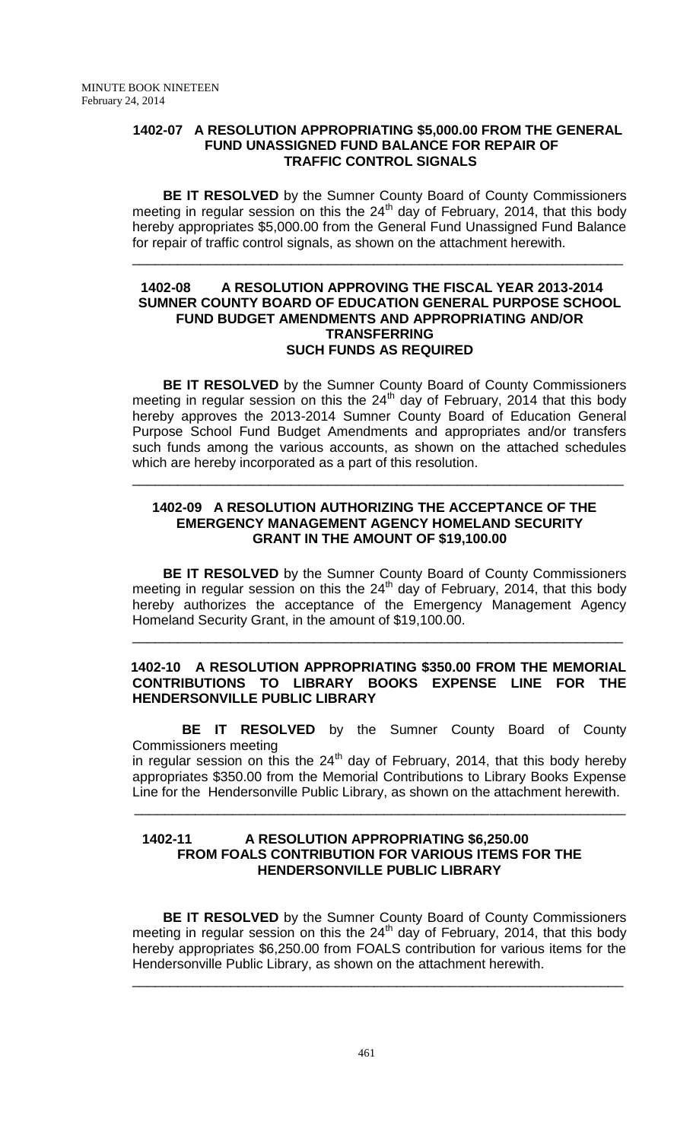### **1402-07 A RESOLUTION APPROPRIATING \$5,000.00 FROM THE GENERAL FUND UNASSIGNED FUND BALANCE FOR REPAIR OF TRAFFIC CONTROL SIGNALS**

**BE IT RESOLVED** by the Sumner County Board of County Commissioners meeting in regular session on this the  $24<sup>th</sup>$  day of February, 2014, that this body hereby appropriates \$5,000.00 from the General Fund Unassigned Fund Balance for repair of traffic control signals, as shown on the attachment herewith.

\_\_\_\_\_\_\_\_\_\_\_\_\_\_\_\_\_\_\_\_\_\_\_\_\_\_\_\_\_\_\_\_\_\_\_\_\_\_\_\_\_\_\_\_\_\_\_\_\_\_\_\_\_\_\_\_\_\_\_\_\_\_\_\_\_

### **1402-08 A RESOLUTION APPROVING THE FISCAL YEAR 2013-2014 SUMNER COUNTY BOARD OF EDUCATION GENERAL PURPOSE SCHOOL FUND BUDGET AMENDMENTS AND APPROPRIATING AND/OR TRANSFERRING SUCH FUNDS AS REQUIRED**

**BE IT RESOLVED** by the Sumner County Board of County Commissioners meeting in regular session on this the  $24<sup>th</sup>$  day of February, 2014 that this body hereby approves the 2013-2014 Sumner County Board of Education General Purpose School Fund Budget Amendments and appropriates and/or transfers such funds among the various accounts, as shown on the attached schedules which are hereby incorporated as a part of this resolution.

### **1402-09 A RESOLUTION AUTHORIZING THE ACCEPTANCE OF THE EMERGENCY MANAGEMENT AGENCY HOMELAND SECURITY GRANT IN THE AMOUNT OF \$19,100.00**

\_\_\_\_\_\_\_\_\_\_\_\_\_\_\_\_\_\_\_\_\_\_\_\_\_\_\_\_\_\_\_\_\_\_\_\_\_\_\_\_\_\_\_\_\_\_\_\_\_\_\_\_\_\_\_\_\_\_\_\_\_\_\_\_\_

**BE IT RESOLVED** by the Sumner County Board of County Commissioners meeting in regular session on this the  $24<sup>th</sup>$  day of February, 2014, that this body hereby authorizes the acceptance of the Emergency Management Agency Homeland Security Grant, in the amount of \$19,100.00.

\_\_\_\_\_\_\_\_\_\_\_\_\_\_\_\_\_\_\_\_\_\_\_\_\_\_\_\_\_\_\_\_\_\_\_\_\_\_\_\_\_\_\_\_\_\_\_\_\_\_\_\_\_\_\_\_\_\_\_\_\_\_\_\_\_

### **1402-10 A RESOLUTION APPROPRIATING \$350.00 FROM THE MEMORIAL CONTRIBUTIONS TO LIBRARY BOOKS EXPENSE LINE FOR THE HENDERSONVILLE PUBLIC LIBRARY**

 **BE IT RESOLVED** by the Sumner County Board of County Commissioners meeting

in regular session on this the  $24<sup>th</sup>$  day of February, 2014, that this body hereby appropriates \$350.00 from the Memorial Contributions to Library Books Expense Line for the Hendersonville Public Library, as shown on the attachment herewith.

### **1402-11 A RESOLUTION APPROPRIATING \$6,250.00 FROM FOALS CONTRIBUTION FOR VARIOUS ITEMS FOR THE HENDERSONVILLE PUBLIC LIBRARY**

 $\overline{\phantom{a}}$  , and the contribution of the contribution of the contribution of the contribution of the contribution of the contribution of the contribution of the contribution of the contribution of the contribution of the

**BE IT RESOLVED** by the Sumner County Board of County Commissioners meeting in regular session on this the  $24<sup>th</sup>$  day of February, 2014, that this body hereby appropriates \$6,250.00 from FOALS contribution for various items for the Hendersonville Public Library, as shown on the attachment herewith.

\_\_\_\_\_\_\_\_\_\_\_\_\_\_\_\_\_\_\_\_\_\_\_\_\_\_\_\_\_\_\_\_\_\_\_\_\_\_\_\_\_\_\_\_\_\_\_\_\_\_\_\_\_\_\_\_\_\_\_\_\_\_\_\_\_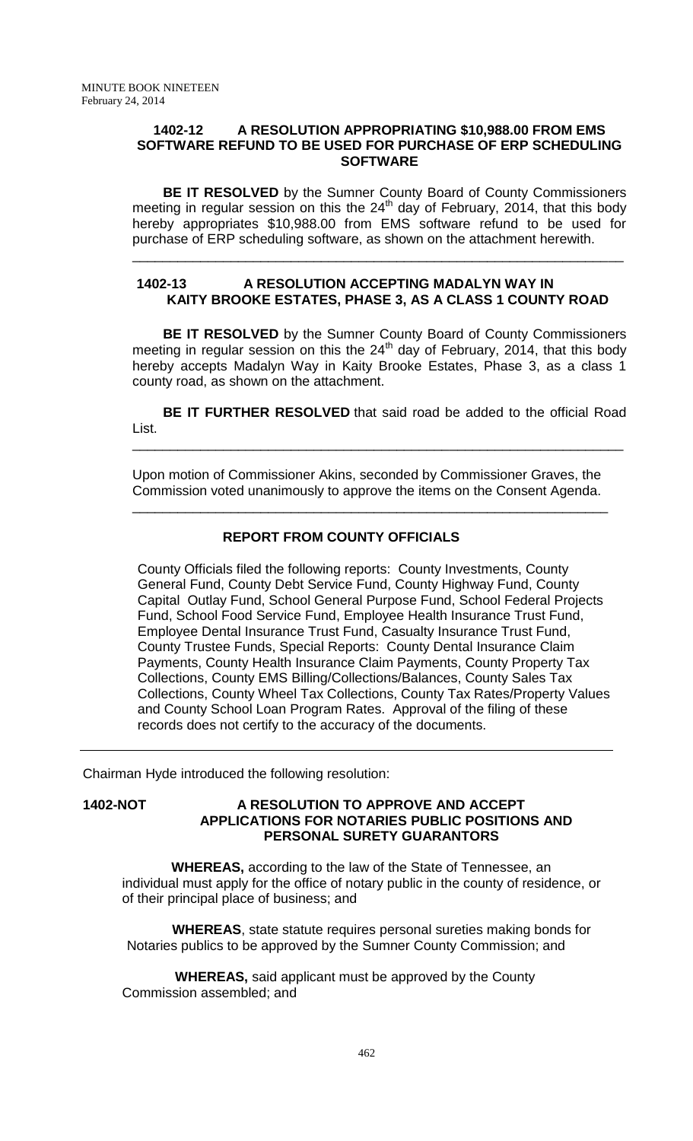### **1402-12 A RESOLUTION APPROPRIATING \$10,988.00 FROM EMS SOFTWARE REFUND TO BE USED FOR PURCHASE OF ERP SCHEDULING SOFTWARE**

**BE IT RESOLVED** by the Sumner County Board of County Commissioners meeting in regular session on this the  $24<sup>th</sup>$  day of February, 2014, that this body hereby appropriates \$10,988.00 from EMS software refund to be used for purchase of ERP scheduling software, as shown on the attachment herewith.

\_\_\_\_\_\_\_\_\_\_\_\_\_\_\_\_\_\_\_\_\_\_\_\_\_\_\_\_\_\_\_\_\_\_\_\_\_\_\_\_\_\_\_\_\_\_\_\_\_\_\_\_\_\_\_\_\_\_\_\_\_\_\_\_\_

## **1402-13 A RESOLUTION ACCEPTING MADALYN WAY IN KAITY BROOKE ESTATES, PHASE 3, AS A CLASS 1 COUNTY ROAD**

**BE IT RESOLVED** by the Sumner County Board of County Commissioners meeting in regular session on this the  $24<sup>th</sup>$  day of February, 2014, that this body hereby accepts Madalyn Way in Kaity Brooke Estates, Phase 3, as a class 1 county road, as shown on the attachment.

**BE IT FURTHER RESOLVED** that said road be added to the official Road List.

\_\_\_\_\_\_\_\_\_\_\_\_\_\_\_\_\_\_\_\_\_\_\_\_\_\_\_\_\_\_\_\_\_\_\_\_\_\_\_\_\_\_\_\_\_\_\_\_\_\_\_\_\_\_\_\_\_\_\_\_\_\_\_\_\_

Upon motion of Commissioner Akins, seconded by Commissioner Graves, the Commission voted unanimously to approve the items on the Consent Agenda.

\_\_\_\_\_\_\_\_\_\_\_\_\_\_\_\_\_\_\_\_\_\_\_\_\_\_\_\_\_\_\_\_\_\_\_\_\_\_\_\_\_\_\_\_\_\_\_\_\_\_\_\_\_\_\_\_\_\_\_\_\_\_\_

## **REPORT FROM COUNTY OFFICIALS**

County Officials filed the following reports: County Investments, County General Fund, County Debt Service Fund, County Highway Fund, County Capital Outlay Fund, School General Purpose Fund, School Federal Projects Fund, School Food Service Fund, Employee Health Insurance Trust Fund, Employee Dental Insurance Trust Fund, Casualty Insurance Trust Fund, County Trustee Funds, Special Reports: County Dental Insurance Claim Payments, County Health Insurance Claim Payments, County Property Tax Collections, County EMS Billing/Collections/Balances, County Sales Tax Collections, County Wheel Tax Collections, County Tax Rates/Property Values and County School Loan Program Rates. Approval of the filing of these records does not certify to the accuracy of the documents.

Chairman Hyde introduced the following resolution:

 **1402-NOT A RESOLUTION TO APPROVE AND ACCEPT APPLICATIONS FOR NOTARIES PUBLIC POSITIONS AND PERSONAL SURETY GUARANTORS**

 **WHEREAS,** according to the law of the State of Tennessee, an individual must apply for the office of notary public in the county of residence, or of their principal place of business; and

 **WHEREAS**, state statute requires personal sureties making bonds for Notaries publics to be approved by the Sumner County Commission; and

 **WHEREAS,** said applicant must be approved by the County Commission assembled; and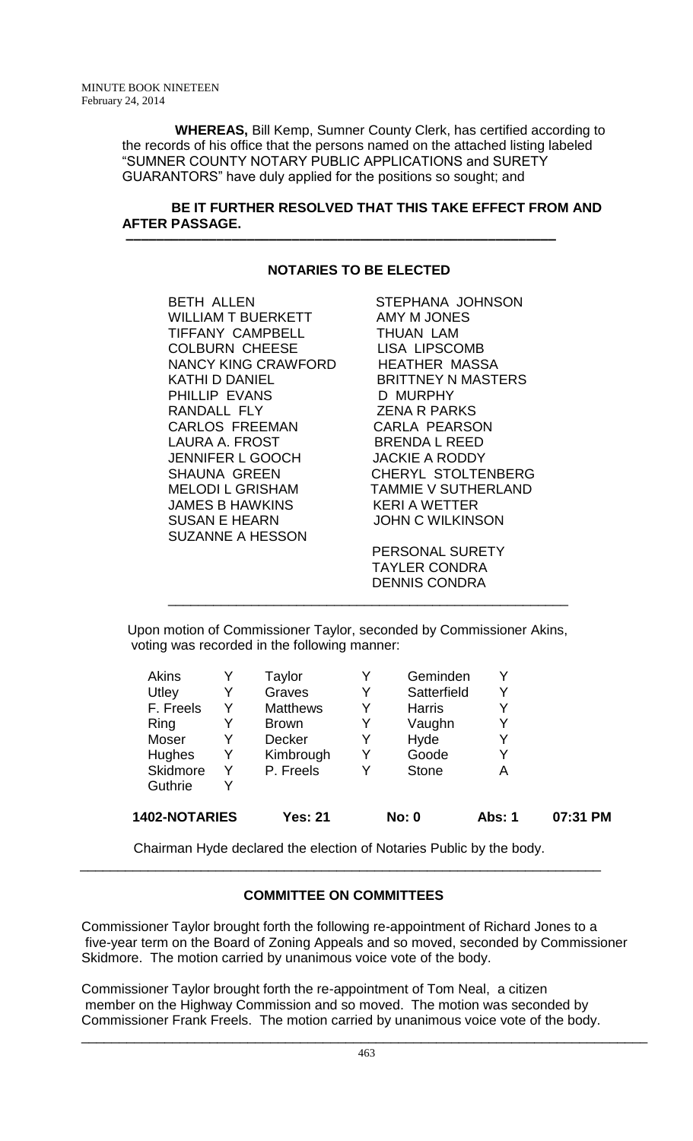**WHEREAS,** Bill Kemp, Sumner County Clerk, has certified according to the records of his office that the persons named on the attached listing labeled "SUMNER COUNTY NOTARY PUBLIC APPLICATIONS and SURETY GUARANTORS" have duly applied for the positions so sought; and

## **BE IT FURTHER RESOLVED THAT THIS TAKE EFFECT FROM AND AFTER PASSAGE.**

# **NOTARIES TO BE ELECTED**

 **–––––––––––––––––––––––––––––––––––––––––––––––––––––––––**

BETH ALLEN STEPHANA JOHNSON WILLIAM T BUERKETT AMY M JONES TIFFANY CAMPBELL THUAN LAM COLBURN CHEESE LISA LIPSCOMB NANCY KING CRAWFORD HEATHER MASSA KATHI D DANIEL BRITTNEY N MASTERS PHILLIP EVANS D MURPHY RANDALL FLY ZENA R PARKS CARLOS FREEMAN LAURA A. FROST BRENDA L REED JENNIFER L GOOCH JACKIE A RODDY SHAUNA GREEN CHERYL STOLTENBERG MELODI L GRISHAM TAMMIE V SUTHERLAND JAMES B HAWKINS KERI A WETTER SUSAN E HEARN JOHN C WILKINSON SUZANNE A HESSON

 PERSONAL SURETY TAYLER CONDRA DENNIS CONDRA

Upon motion of Commissioner Taylor, seconded by Commissioner Akins, voting was recorded in the following manner:

\_\_\_\_\_\_\_\_\_\_\_\_\_\_\_\_\_\_\_\_\_\_\_\_\_\_\_\_\_\_\_\_\_\_\_\_\_\_\_\_\_\_\_\_\_\_\_\_\_\_\_\_\_

| 1402-NOTARIES   |   | <b>Yes: 21</b>  |   | No: 0         | Abs: 1 | 07:31 PM |
|-----------------|---|-----------------|---|---------------|--------|----------|
| Guthrie         | Y |                 |   |               |        |          |
| <b>Skidmore</b> | Y | P. Freels       | Y | <b>Stone</b>  | A      |          |
| <b>Hughes</b>   | Y | Kimbrough       | Y | Goode         | Y      |          |
| Moser           | Y | Decker          | Y | Hyde          | Y      |          |
| Ring            | Y | <b>Brown</b>    | Y | Vaughn        | Y      |          |
| F. Freels       | Y | <b>Matthews</b> | Y | <b>Harris</b> | Y      |          |
| Utley           |   | Graves          | Y | Satterfield   | Y      |          |
| <b>Akins</b>    |   | Taylor          | Y | Geminden      |        |          |

 Chairman Hyde declared the election of Notaries Public by the body. \_\_\_\_\_\_\_\_\_\_\_\_\_\_\_\_\_\_\_\_\_\_\_\_\_\_\_\_\_\_\_\_\_\_\_\_\_\_\_\_\_\_\_\_\_\_\_\_\_\_\_\_\_\_\_\_\_\_\_\_\_\_\_\_\_\_\_\_\_

## **COMMITTEE ON COMMITTEES**

Commissioner Taylor brought forth the following re-appointment of Richard Jones to a five-year term on the Board of Zoning Appeals and so moved, seconded by Commissioner Skidmore. The motion carried by unanimous voice vote of the body.

Commissioner Taylor brought forth the re-appointment of Tom Neal, a citizen member on the Highway Commission and so moved. The motion was seconded by Commissioner Frank Freels. The motion carried by unanimous voice vote of the body.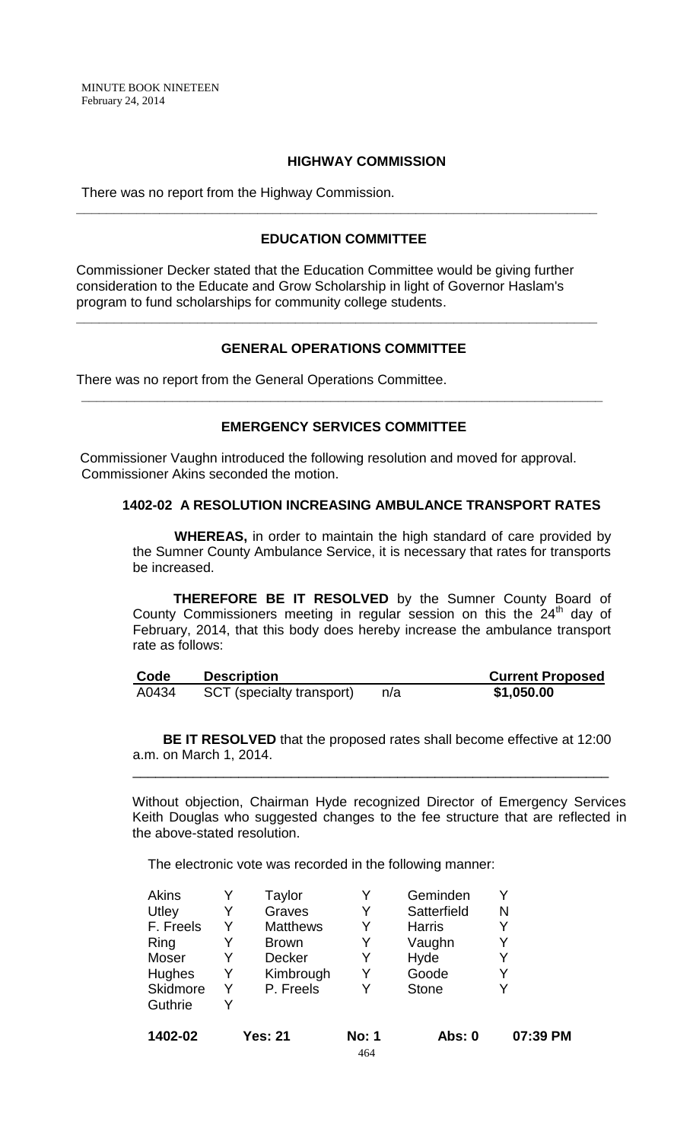### **HIGHWAY COMMISSION**

There was no report from the Highway Commission.

### **EDUCATION COMMITTEE**

**\_\_\_\_\_\_\_\_\_\_\_\_\_\_\_\_\_\_\_\_\_\_\_\_\_\_\_\_\_\_\_\_\_\_\_\_\_\_\_\_\_\_\_\_\_\_\_\_\_\_\_\_\_\_\_\_\_\_\_\_\_\_\_\_\_\_\_\_\_**

Commissioner Decker stated that the Education Committee would be giving further consideration to the Educate and Grow Scholarship in light of Governor Haslam's program to fund scholarships for community college students.

## **GENERAL OPERATIONS COMMITTEE**

**\_\_\_\_\_\_\_\_\_\_\_\_\_\_\_\_\_\_\_\_\_\_\_\_\_\_\_\_\_\_\_\_\_\_\_\_\_\_\_\_\_\_\_\_\_\_\_\_\_\_\_\_\_\_\_\_\_\_\_\_\_\_\_\_\_\_\_\_\_**

There was no report from the General Operations Committee.

### **EMERGENCY SERVICES COMMITTEE**

**\_\_\_\_\_\_\_\_\_\_\_\_\_\_\_\_\_\_\_\_\_\_\_\_\_\_\_\_\_\_\_\_\_\_\_\_\_\_\_\_\_\_\_\_\_\_\_\_\_\_\_\_\_\_\_\_\_\_\_\_\_\_\_\_\_\_\_\_\_**

Commissioner Vaughn introduced the following resolution and moved for approval. Commissioner Akins seconded the motion.

## **1402-02 A RESOLUTION INCREASING AMBULANCE TRANSPORT RATES**

 **WHEREAS,** in order to maintain the high standard of care provided by the Sumner County Ambulance Service, it is necessary that rates for transports be increased.

**THEREFORE BE IT RESOLVED** by the Sumner County Board of County Commissioners meeting in regular session on this the 24<sup>th</sup> day of February, 2014, that this body does hereby increase the ambulance transport rate as follows:

| Code  | <b>Description</b>               |     | <b>Current Proposed</b> |
|-------|----------------------------------|-----|-------------------------|
| A0434 | <b>SCT</b> (specialty transport) | n/a | \$1,050.00              |

**BE IT RESOLVED** that the proposed rates shall become effective at 12:00 a.m. on March 1, 2014.

\_\_\_\_\_\_\_\_\_\_\_\_\_\_\_\_\_\_\_\_\_\_\_\_\_\_\_\_\_\_\_\_\_\_\_\_\_\_\_\_\_\_\_\_\_\_\_\_\_\_\_\_\_\_\_\_\_\_\_\_\_\_\_

Without objection, Chairman Hyde recognized Director of Emergency Services Keith Douglas who suggested changes to the fee structure that are reflected in the above-stated resolution.

The electronic vote was recorded in the following manner:

| 1402-02   |   | <b>Yes: 21</b>  | <b>No: 1</b><br>464 | <b>Abs: 0</b> | 07:39 PM |
|-----------|---|-----------------|---------------------|---------------|----------|
| Guthrie   | Y |                 |                     |               |          |
| Skidmore  | Y | P. Freels       | Y                   | <b>Stone</b>  |          |
| Hughes    | Y | Kimbrough       | Y                   | Goode         | Y        |
| Moser     | Y | <b>Decker</b>   | Y                   | Hyde          |          |
| Ring      | Y | <b>Brown</b>    | Y                   | Vaughn        |          |
| F. Freels | Y | <b>Matthews</b> | Y                   | <b>Harris</b> |          |
| Utley     | Y | Graves          | Y                   | Satterfield   | N        |
| Akins     |   | Taylor          |                     | Geminden      |          |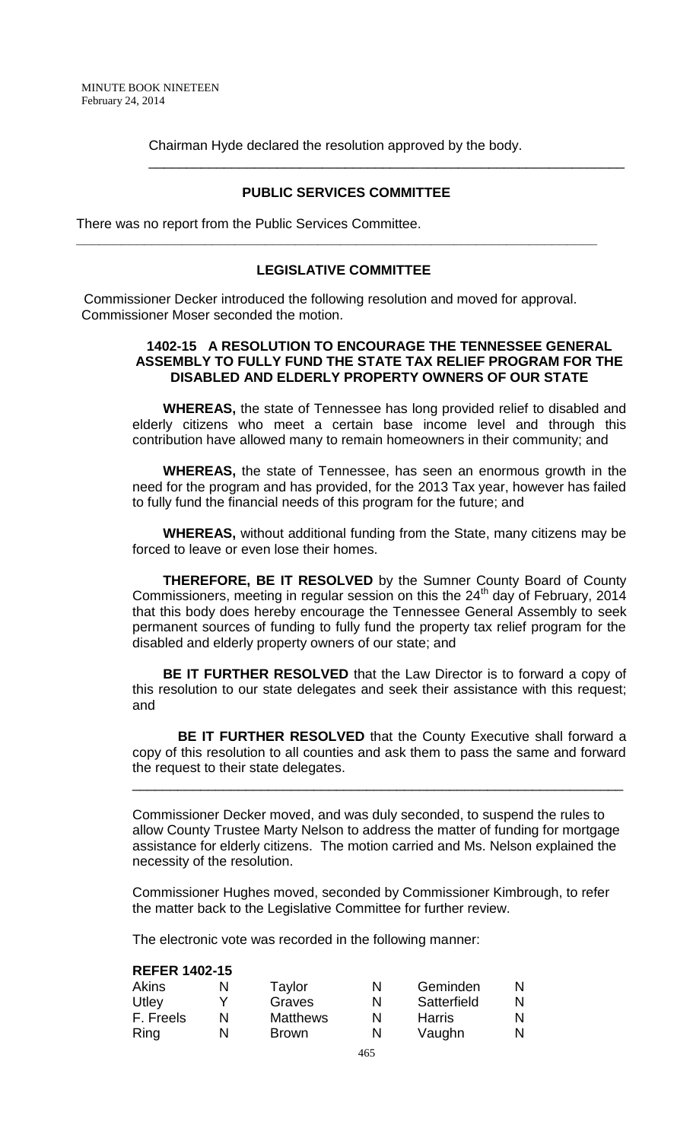Chairman Hyde declared the resolution approved by the body.

### **PUBLIC SERVICES COMMITTEE**

\_\_\_\_\_\_\_\_\_\_\_\_\_\_\_\_\_\_\_\_\_\_\_\_\_\_\_\_\_\_\_\_\_\_\_\_\_\_\_\_\_\_\_\_\_\_\_\_\_\_\_\_\_\_\_\_\_\_\_\_\_\_\_

There was no report from the Public Services Committee.

### **LEGISLATIVE COMMITTEE**

**\_\_\_\_\_\_\_\_\_\_\_\_\_\_\_\_\_\_\_\_\_\_\_\_\_\_\_\_\_\_\_\_\_\_\_\_\_\_\_\_\_\_\_\_\_\_\_\_\_\_\_\_\_\_\_\_\_\_\_\_\_\_\_\_\_\_\_\_\_**

 Commissioner Decker introduced the following resolution and moved for approval. Commissioner Moser seconded the motion.

### **1402-15 A RESOLUTION TO ENCOURAGE THE TENNESSEE GENERAL ASSEMBLY TO FULLY FUND THE STATE TAX RELIEF PROGRAM FOR THE DISABLED AND ELDERLY PROPERTY OWNERS OF OUR STATE**

**WHEREAS,** the state of Tennessee has long provided relief to disabled and elderly citizens who meet a certain base income level and through this contribution have allowed many to remain homeowners in their community; and

**WHEREAS,** the state of Tennessee, has seen an enormous growth in the need for the program and has provided, for the 2013 Tax year, however has failed to fully fund the financial needs of this program for the future; and

**WHEREAS,** without additional funding from the State, many citizens may be forced to leave or even lose their homes.

**THEREFORE, BE IT RESOLVED** by the Sumner County Board of County Commissioners, meeting in regular session on this the  $24<sup>th</sup>$  day of February, 2014 that this body does hereby encourage the Tennessee General Assembly to seek permanent sources of funding to fully fund the property tax relief program for the disabled and elderly property owners of our state; and

**BE IT FURTHER RESOLVED** that the Law Director is to forward a copy of this resolution to our state delegates and seek their assistance with this request; and

 **BE IT FURTHER RESOLVED** that the County Executive shall forward a copy of this resolution to all counties and ask them to pass the same and forward the request to their state delegates.

\_\_\_\_\_\_\_\_\_\_\_\_\_\_\_\_\_\_\_\_\_\_\_\_\_\_\_\_\_\_\_\_\_\_\_\_\_\_\_\_\_\_\_\_\_\_\_\_\_\_\_\_\_\_\_\_\_\_\_\_\_\_\_\_\_

Commissioner Decker moved, and was duly seconded, to suspend the rules to allow County Trustee Marty Nelson to address the matter of funding for mortgage assistance for elderly citizens. The motion carried and Ms. Nelson explained the necessity of the resolution.

Commissioner Hughes moved, seconded by Commissioner Kimbrough, to refer the matter back to the Legislative Committee for further review.

The electronic vote was recorded in the following manner:

#### **REFER 1402-15**

| Akins     | N | Taylor          | N | Geminden    | N |
|-----------|---|-----------------|---|-------------|---|
| Utley     |   | Graves          | N | Satterfield | N |
| F. Freels | N | <b>Matthews</b> | N | Harris      | N |
| Ring      | N | <b>Brown</b>    | N | Vaughn      | N |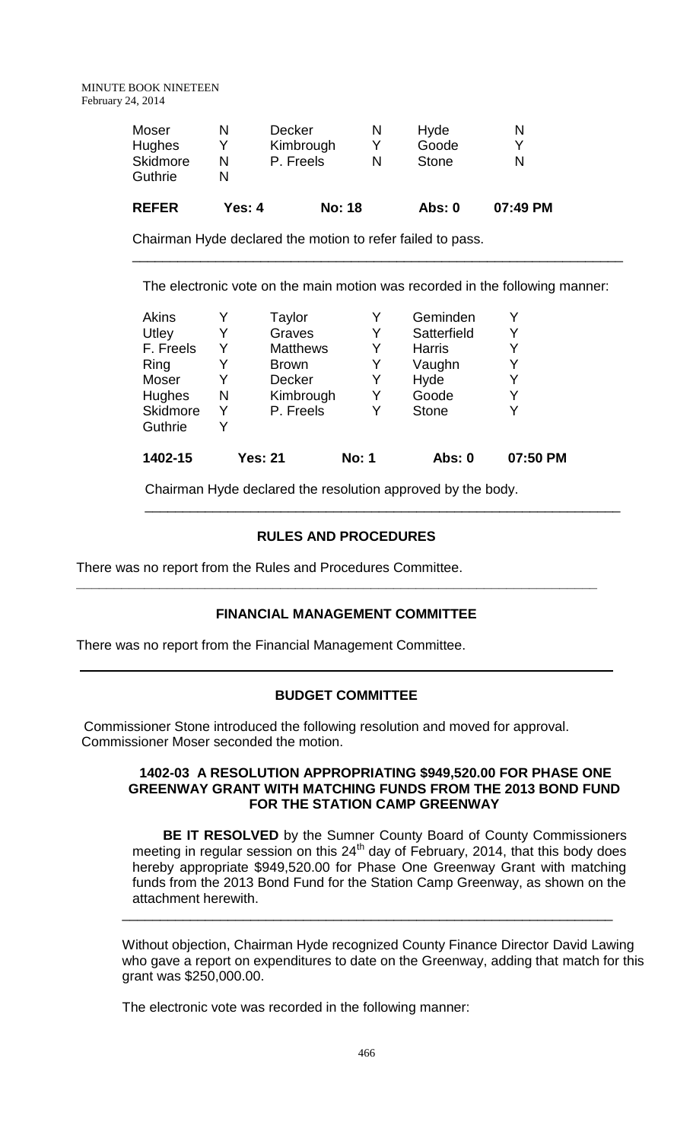| <b>REFER</b>    | Yes: 4 | <b>No: 18</b> | <b>Abs: 0</b> | 07:49 PM |
|-----------------|--------|---------------|---------------|----------|
| Guthrie         |        |               |               |          |
| <b>Skidmore</b> | N      | P. Freels     | <b>Stone</b>  |          |
| <b>Hughes</b>   |        | Kimbrough     | Goode         |          |
| Moser           |        | <b>Decker</b> | Hyde          |          |

Chairman Hyde declared the motion to refer failed to pass.

The electronic vote on the main motion was recorded in the following manner:

\_\_\_\_\_\_\_\_\_\_\_\_\_\_\_\_\_\_\_\_\_\_\_\_\_\_\_\_\_\_\_\_\_\_\_\_\_\_\_\_\_\_\_\_\_\_\_\_\_\_\_\_\_\_\_\_\_\_\_\_\_\_\_\_\_

| 1402-15         |   | <b>Yes: 21</b>  | <b>No: 1</b> | Abs: 0        | 07:50 PM |
|-----------------|---|-----------------|--------------|---------------|----------|
| Guthrie         |   |                 |              |               |          |
| <b>Skidmore</b> | Y | P. Freels       | Y            | <b>Stone</b>  | V        |
| Hughes          | N | Kimbrough       | Y            | Goode         | Y        |
| Moser           |   | <b>Decker</b>   | Y            | Hyde          |          |
| Ring            | Y | <b>Brown</b>    | Y            | Vaughn        | Y        |
| F. Freels       | Y | <b>Matthews</b> | Y            | <b>Harris</b> | Y        |
| Utley           | Y | Graves          | Y            | Satterfield   | Y        |
| <b>Akins</b>    |   | Taylor          |              | Geminden      |          |
|                 |   |                 |              |               |          |

Chairman Hyde declared the resolution approved by the body.

## **RULES AND PROCEDURES**

\_\_\_\_\_\_\_\_\_\_\_\_\_\_\_\_\_\_\_\_\_\_\_\_\_\_\_\_\_\_\_\_\_\_\_\_\_\_\_\_\_\_\_\_\_\_\_\_\_\_\_\_\_\_\_\_\_\_\_\_\_\_\_

There was no report from the Rules and Procedures Committee.

### **FINANCIAL MANAGEMENT COMMITTEE**

**\_\_\_\_\_\_\_\_\_\_\_\_\_\_\_\_\_\_\_\_\_\_\_\_\_\_\_\_\_\_\_\_\_\_\_\_\_\_\_\_\_\_\_\_\_\_\_\_\_\_\_\_\_\_\_\_\_\_\_\_\_\_\_\_\_\_\_\_\_**

There was no report from the Financial Management Committee.

### **BUDGET COMMITTEE**

 Commissioner Stone introduced the following resolution and moved for approval. Commissioner Moser seconded the motion.

### **1402-03 A RESOLUTION APPROPRIATING \$949,520.00 FOR PHASE ONE GREENWAY GRANT WITH MATCHING FUNDS FROM THE 2013 BOND FUND FOR THE STATION CAMP GREENWAY**

**BE IT RESOLVED** by the Sumner County Board of County Commissioners meeting in regular session on this  $24<sup>th</sup>$  day of February, 2014, that this body does hereby appropriate \$949,520.00 for Phase One Greenway Grant with matching funds from the 2013 Bond Fund for the Station Camp Greenway, as shown on the attachment herewith.

\_\_\_\_\_\_\_\_\_\_\_\_\_\_\_\_\_\_\_\_\_\_\_\_\_\_\_\_\_\_\_\_\_\_\_\_\_\_\_\_\_\_\_\_\_\_\_\_\_\_\_\_\_\_\_\_\_\_\_\_\_\_\_\_\_

Without objection, Chairman Hyde recognized County Finance Director David Lawing who gave a report on expenditures to date on the Greenway, adding that match for this grant was \$250,000.00.

The electronic vote was recorded in the following manner: